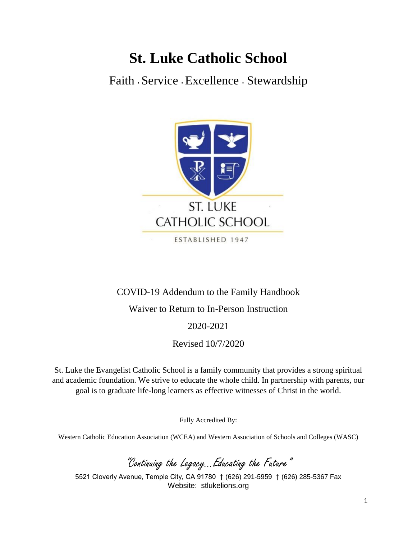# **St. Luke Catholic School**

Faith **<sup>∙</sup>** Service **<sup>∙</sup>** Excellence **<sup>∙</sup>** Stewardship



# COVID-19 Addendum to the Family Handbook

# Waiver to Return to In-Person Instruction

## 2020-2021

## Revised 10/7/2020

St. Luke the Evangelist Catholic School is a family community that provides a strong spiritual and academic foundation. We strive to educate the whole child. In partnership with parents, our goal is to graduate life-long learners as effective witnesses of Christ in the world.

Fully Accredited By:

Western Catholic Education Association (WCEA) and Western Association of Schools and Colleges (WASC)

"Continuing the Legacy…Educating the Future"

5521 Cloverly Avenue, Temple City, CA 91780 † (626) 291-5959 † (626) 285-5367 Fax Website: stlukelions.org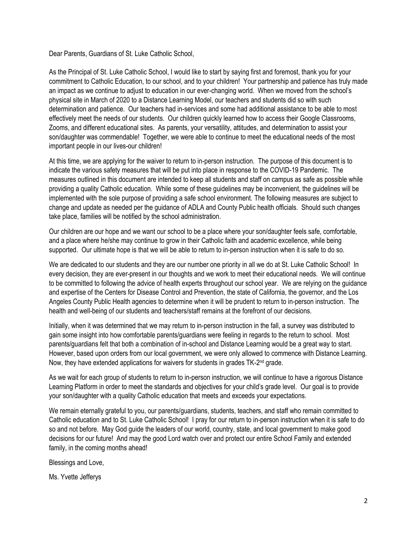Dear Parents, Guardians of St. Luke Catholic School,

As the Principal of St. Luke Catholic School, I would like to start by saying first and foremost, thank you for your commitment to Catholic Education, to our school, and to your children! Your partnership and patience has truly made an impact as we continue to adjust to education in our ever-changing world. When we moved from the school's physical site in March of 2020 to a Distance Learning Model, our teachers and students did so with such determination and patience. Our teachers had in-services and some had additional assistance to be able to most effectively meet the needs of our students. Our children quickly learned how to access their Google Classrooms, Zooms, and different educational sites. As parents, your versatility, attitudes, and determination to assist your son/daughter was commendable! Together, we were able to continue to meet the educational needs of the most important people in our lives-our children!

At this time, we are applying for the waiver to return to in-person instruction. The purpose of this document is to indicate the various safety measures that will be put into place in response to the COVID-19 Pandemic. The measures outlined in this document are intended to keep all students and staff on campus as safe as possible while providing a quality Catholic education. While some of these guidelines may be inconvenient, the guidelines will be implemented with the sole purpose of providing a safe school environment. The following measures are subject to change and update as needed per the guidance of ADLA and County Public health officials. Should such changes take place, families will be notified by the school administration.

Our children are our hope and we want our school to be a place where your son/daughter feels safe, comfortable, and a place where he/she may continue to grow in their Catholic faith and academic excellence, while being supported. Our ultimate hope is that we will be able to return to in-person instruction when it is safe to do so.

We are dedicated to our students and they are our number one priority in all we do at St. Luke Catholic School! In every decision, they are ever-present in our thoughts and we work to meet their educational needs. We will continue to be committed to following the advice of health experts throughout our school year. We are relying on the guidance and expertise of the Centers for Disease Control and Prevention, the state of California, the governor, and the Los Angeles County Public Health agencies to determine when it will be prudent to return to in-person instruction. The health and well-being of our students and teachers/staff remains at the forefront of our decisions.

Initially, when it was determined that we may return to in-person instruction in the fall, a survey was distributed to gain some insight into how comfortable parents/guardians were feeling in regards to the return to school. Most parents/guardians felt that both a combination of in-school and Distance Learning would be a great way to start. However, based upon orders from our local government, we were only allowed to commence with Distance Learning. Now, they have extended applications for waivers for students in grades TK-2<sup>nd</sup> grade.

As we wait for each group of students to return to in-person instruction, we will continue to have a rigorous Distance Learning Platform in order to meet the standards and objectives for your child's grade level. Our goal is to provide your son/daughter with a quality Catholic education that meets and exceeds your expectations.

We remain eternally grateful to you, our parents/guardians, students, teachers, and staff who remain committed to Catholic education and to St. Luke Catholic School! I pray for our return to in-person instruction when it is safe to do so and not before. May God guide the leaders of our world, country, state, and local government to make good decisions for our future! And may the good Lord watch over and protect our entire School Family and extended family, in the coming months ahead!

Blessings and Love,

Ms. Yvette Jefferys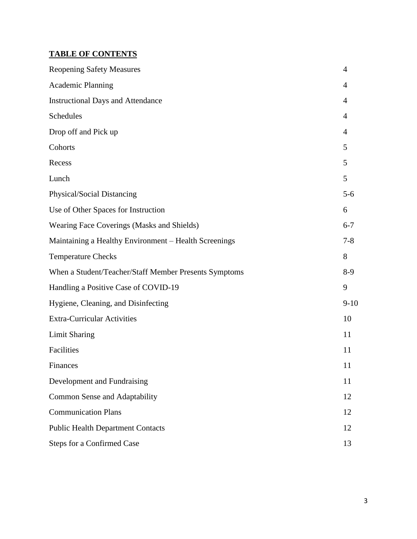# **TABLE OF CONTENTS**

| <b>Reopening Safety Measures</b>                      | 4              |
|-------------------------------------------------------|----------------|
| <b>Academic Planning</b>                              | $\overline{4}$ |
| <b>Instructional Days and Attendance</b>              | 4              |
| Schedules                                             | $\overline{4}$ |
| Drop off and Pick up                                  | $\overline{4}$ |
| Cohorts                                               | 5              |
| Recess                                                | 5              |
| Lunch                                                 | 5              |
| Physical/Social Distancing                            | $5-6$          |
| Use of Other Spaces for Instruction                   | 6              |
| Wearing Face Coverings (Masks and Shields)            | $6 - 7$        |
| Maintaining a Healthy Environment - Health Screenings | $7 - 8$        |
| <b>Temperature Checks</b>                             | 8              |
| When a Student/Teacher/Staff Member Presents Symptoms | $8-9$          |
| Handling a Positive Case of COVID-19                  | 9              |
| Hygiene, Cleaning, and Disinfecting                   | $9 - 10$       |
| <b>Extra-Curricular Activities</b>                    | 10             |
| <b>Limit Sharing</b>                                  | 11             |
| Facilities                                            | 11             |
| Finances                                              | 11             |
| Development and Fundraising                           | 11             |
| Common Sense and Adaptability                         | 12             |
| <b>Communication Plans</b>                            | 12             |
| <b>Public Health Department Contacts</b>              | 12             |
| <b>Steps for a Confirmed Case</b>                     | 13             |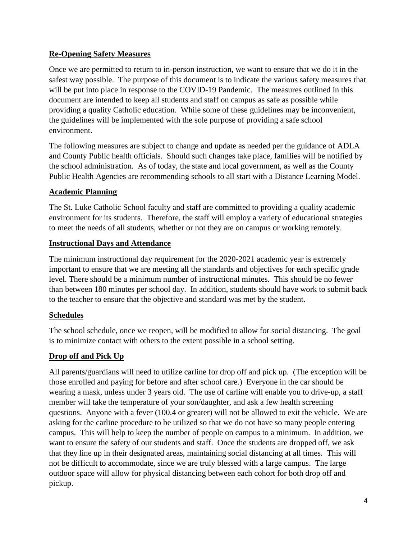## **Re-Opening Safety Measures**

Once we are permitted to return to in-person instruction, we want to ensure that we do it in the safest way possible. The purpose of this document is to indicate the various safety measures that will be put into place in response to the COVID-19 Pandemic. The measures outlined in this document are intended to keep all students and staff on campus as safe as possible while providing a quality Catholic education. While some of these guidelines may be inconvenient, the guidelines will be implemented with the sole purpose of providing a safe school environment.

The following measures are subject to change and update as needed per the guidance of ADLA and County Public health officials. Should such changes take place, families will be notified by the school administration. As of today, the state and local government, as well as the County Public Health Agencies are recommending schools to all start with a Distance Learning Model.

#### **Academic Planning**

The St. Luke Catholic School faculty and staff are committed to providing a quality academic environment for its students. Therefore, the staff will employ a variety of educational strategies to meet the needs of all students, whether or not they are on campus or working remotely.

#### **Instructional Days and Attendance**

The minimum instructional day requirement for the 2020-2021 academic year is extremely important to ensure that we are meeting all the standards and objectives for each specific grade level. There should be a minimum number of instructional minutes. This should be no fewer than between 180 minutes per school day. In addition, students should have work to submit back to the teacher to ensure that the objective and standard was met by the student.

#### **Schedules**

The school schedule, once we reopen, will be modified to allow for social distancing. The goal is to minimize contact with others to the extent possible in a school setting.

## **Drop off and Pick Up**

All parents/guardians will need to utilize carline for drop off and pick up. (The exception will be those enrolled and paying for before and after school care.) Everyone in the car should be wearing a mask, unless under 3 years old. The use of carline will enable you to drive-up, a staff member will take the temperature of your son/daughter, and ask a few health screening questions. Anyone with a fever (100.4 or greater) will not be allowed to exit the vehicle. We are asking for the carline procedure to be utilized so that we do not have so many people entering campus. This will help to keep the number of people on campus to a minimum. In addition, we want to ensure the safety of our students and staff. Once the students are dropped off, we ask that they line up in their designated areas, maintaining social distancing at all times. This will not be difficult to accommodate, since we are truly blessed with a large campus. The large outdoor space will allow for physical distancing between each cohort for both drop off and pickup.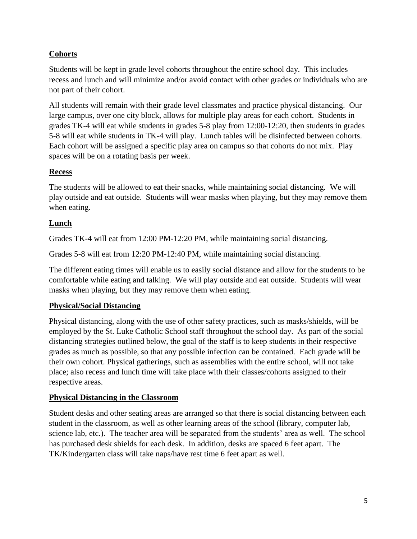## **Cohorts**

Students will be kept in grade level cohorts throughout the entire school day. This includes recess and lunch and will minimize and/or avoid contact with other grades or individuals who are not part of their cohort.

All students will remain with their grade level classmates and practice physical distancing. Our large campus, over one city block, allows for multiple play areas for each cohort. Students in grades TK-4 will eat while students in grades 5-8 play from 12:00-12:20, then students in grades 5-8 will eat while students in TK-4 will play. Lunch tables will be disinfected between cohorts. Each cohort will be assigned a specific play area on campus so that cohorts do not mix. Play spaces will be on a rotating basis per week.

## **Recess**

The students will be allowed to eat their snacks, while maintaining social distancing. We will play outside and eat outside. Students will wear masks when playing, but they may remove them when eating.

## **Lunch**

Grades TK-4 will eat from 12:00 PM-12:20 PM, while maintaining social distancing.

Grades 5-8 will eat from 12:20 PM-12:40 PM, while maintaining social distancing.

The different eating times will enable us to easily social distance and allow for the students to be comfortable while eating and talking. We will play outside and eat outside. Students will wear masks when playing, but they may remove them when eating.

## **Physical/Social Distancing**

Physical distancing, along with the use of other safety practices, such as masks/shields, will be employed by the St. Luke Catholic School staff throughout the school day. As part of the social distancing strategies outlined below, the goal of the staff is to keep students in their respective grades as much as possible, so that any possible infection can be contained. Each grade will be their own cohort. Physical gatherings, such as assemblies with the entire school, will not take place; also recess and lunch time will take place with their classes/cohorts assigned to their respective areas.

## **Physical Distancing in the Classroom**

Student desks and other seating areas are arranged so that there is social distancing between each student in the classroom, as well as other learning areas of the school (library, computer lab, science lab, etc.). The teacher area will be separated from the students' area as well. The school has purchased desk shields for each desk. In addition, desks are spaced 6 feet apart. The TK/Kindergarten class will take naps/have rest time 6 feet apart as well.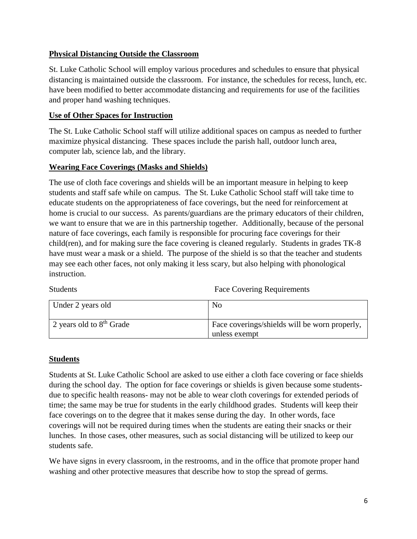#### **Physical Distancing Outside the Classroom**

St. Luke Catholic School will employ various procedures and schedules to ensure that physical distancing is maintained outside the classroom. For instance, the schedules for recess, lunch, etc. have been modified to better accommodate distancing and requirements for use of the facilities and proper hand washing techniques.

#### **Use of Other Spaces for Instruction**

The St. Luke Catholic School staff will utilize additional spaces on campus as needed to further maximize physical distancing. These spaces include the parish hall, outdoor lunch area, computer lab, science lab, and the library.

#### **Wearing Face Coverings (Masks and Shields)**

The use of cloth face coverings and shields will be an important measure in helping to keep students and staff safe while on campus. The St. Luke Catholic School staff will take time to educate students on the appropriateness of face coverings, but the need for reinforcement at home is crucial to our success. As parents/guardians are the primary educators of their children, we want to ensure that we are in this partnership together. Additionally, because of the personal nature of face coverings, each family is responsible for procuring face coverings for their child(ren), and for making sure the face covering is cleaned regularly. Students in grades TK-8 have must wear a mask or a shield. The purpose of the shield is so that the teacher and students may see each other faces, not only making it less scary, but also helping with phonological instruction.

Students **Face Covering Requirements** 

| Under 2 years old          | N <sub>0</sub>                                                 |
|----------------------------|----------------------------------------------------------------|
| 2 years old to $8th$ Grade | Face coverings/shields will be worn properly,<br>unless exempt |

#### **Students**

Students at St. Luke Catholic School are asked to use either a cloth face covering or face shields during the school day. The option for face coverings or shields is given because some studentsdue to specific health reasons- may not be able to wear cloth coverings for extended periods of time; the same may be true for students in the early childhood grades. Students will keep their face coverings on to the degree that it makes sense during the day. In other words, face coverings will not be required during times when the students are eating their snacks or their lunches. In those cases, other measures, such as social distancing will be utilized to keep our students safe.

We have signs in every classroom, in the restrooms, and in the office that promote proper hand washing and other protective measures that describe how to stop the spread of germs.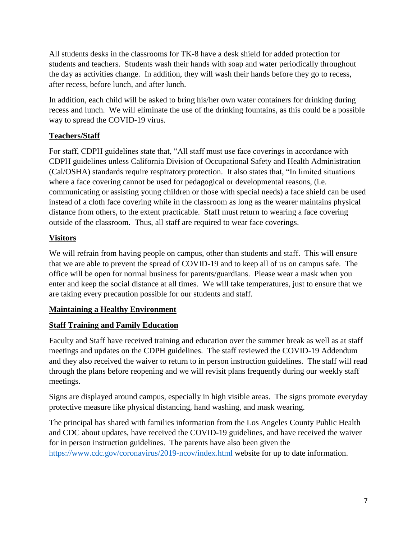All students desks in the classrooms for TK-8 have a desk shield for added protection for students and teachers. Students wash their hands with soap and water periodically throughout the day as activities change. In addition, they will wash their hands before they go to recess, after recess, before lunch, and after lunch.

In addition, each child will be asked to bring his/her own water containers for drinking during recess and lunch. We will eliminate the use of the drinking fountains, as this could be a possible way to spread the COVID-19 virus.

## **Teachers/Staff**

For staff, CDPH guidelines state that, "All staff must use face coverings in accordance with CDPH guidelines unless California Division of Occupational Safety and Health Administration (Cal/OSHA) standards require respiratory protection. It also states that, "In limited situations where a face covering cannot be used for pedagogical or developmental reasons, (i.e. communicating or assisting young children or those with special needs) a face shield can be used instead of a cloth face covering while in the classroom as long as the wearer maintains physical distance from others, to the extent practicable. Staff must return to wearing a face covering outside of the classroom. Thus, all staff are required to wear face coverings.

# **Visitors**

We will refrain from having people on campus, other than students and staff. This will ensure that we are able to prevent the spread of COVID-19 and to keep all of us on campus safe. The office will be open for normal business for parents/guardians. Please wear a mask when you enter and keep the social distance at all times. We will take temperatures, just to ensure that we are taking every precaution possible for our students and staff.

## **Maintaining a Healthy Environment**

## **Staff Training and Family Education**

Faculty and Staff have received training and education over the summer break as well as at staff meetings and updates on the CDPH guidelines. The staff reviewed the COVID-19 Addendum and they also received the waiver to return to in person instruction guidelines. The staff will read through the plans before reopening and we will revisit plans frequently during our weekly staff meetings.

Signs are displayed around campus, especially in high visible areas. The signs promote everyday protective measure like physical distancing, hand washing, and mask wearing.

The principal has shared with families information from the Los Angeles County Public Health and CDC about updates, have received the COVID-19 guidelines, and have received the waiver for in person instruction guidelines. The parents have also been given the <https://www.cdc.gov/coronavirus/2019-ncov/index.html> website for up to date information.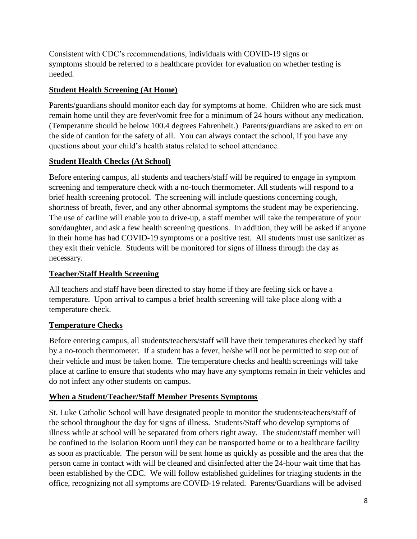Consistent with CDC's recommendations, individuals with COVID-19 signs or symptoms should be referred to a healthcare provider for evaluation on whether testing is needed.

#### **Student Health Screening (At Home)**

Parents/guardians should monitor each day for symptoms at home. Children who are sick must remain home until they are fever/vomit free for a minimum of 24 hours without any medication. (Temperature should be below 100.4 degrees Fahrenheit.) Parents/guardians are asked to err on the side of caution for the safety of all. You can always contact the school, if you have any questions about your child's health status related to school attendance.

#### **Student Health Checks (At School)**

Before entering campus, all students and teachers/staff will be required to engage in symptom screening and temperature check with a no-touch thermometer. All students will respond to a brief health screening protocol. The screening will include questions concerning cough, shortness of breath, fever, and any other abnormal symptoms the student may be experiencing. The use of carline will enable you to drive-up, a staff member will take the temperature of your son/daughter, and ask a few health screening questions. In addition, they will be asked if anyone in their home has had COVID-19 symptoms or a positive test. All students must use sanitizer as they exit their vehicle. Students will be monitored for signs of illness through the day as necessary.

#### **Teacher/Staff Health Screening**

All teachers and staff have been directed to stay home if they are feeling sick or have a temperature. Upon arrival to campus a brief health screening will take place along with a temperature check.

## **Temperature Checks**

Before entering campus, all students/teachers/staff will have their temperatures checked by staff by a no-touch thermometer. If a student has a fever, he/she will not be permitted to step out of their vehicle and must be taken home. The temperature checks and health screenings will take place at carline to ensure that students who may have any symptoms remain in their vehicles and do not infect any other students on campus.

#### **When a Student/Teacher/Staff Member Presents Symptoms**

St. Luke Catholic School will have designated people to monitor the students/teachers/staff of the school throughout the day for signs of illness. Students/Staff who develop symptoms of illness while at school will be separated from others right away. The student/staff member will be confined to the Isolation Room until they can be transported home or to a healthcare facility as soon as practicable. The person will be sent home as quickly as possible and the area that the person came in contact with will be cleaned and disinfected after the 24-hour wait time that has been established by the CDC. We will follow established guidelines for triaging students in the office, recognizing not all symptoms are COVID-19 related. Parents/Guardians will be advised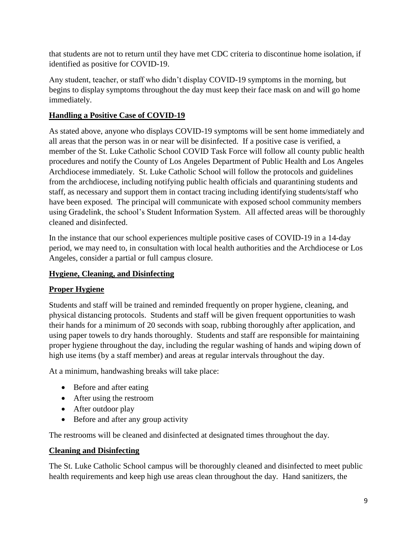that students are not to return until they have met CDC criteria to discontinue home isolation, if identified as positive for COVID-19.

Any student, teacher, or staff who didn't display COVID-19 symptoms in the morning, but begins to display symptoms throughout the day must keep their face mask on and will go home immediately.

## **Handling a Positive Case of COVID-19**

As stated above, anyone who displays COVID-19 symptoms will be sent home immediately and all areas that the person was in or near will be disinfected. If a positive case is verified, a member of the St. Luke Catholic School COVID Task Force will follow all county public health procedures and notify the County of Los Angeles Department of Public Health and Los Angeles Archdiocese immediately. St. Luke Catholic School will follow the protocols and guidelines from the archdiocese, including notifying public health officials and quarantining students and staff, as necessary and support them in contact tracing including identifying students/staff who have been exposed. The principal will communicate with exposed school community members using Gradelink, the school's Student Information System. All affected areas will be thoroughly cleaned and disinfected.

In the instance that our school experiences multiple positive cases of COVID-19 in a 14-day period, we may need to, in consultation with local health authorities and the Archdiocese or Los Angeles, consider a partial or full campus closure.

## **Hygiene, Cleaning, and Disinfecting**

# **Proper Hygiene**

Students and staff will be trained and reminded frequently on proper hygiene, cleaning, and physical distancing protocols. Students and staff will be given frequent opportunities to wash their hands for a minimum of 20 seconds with soap, rubbing thoroughly after application, and using paper towels to dry hands thoroughly. Students and staff are responsible for maintaining proper hygiene throughout the day, including the regular washing of hands and wiping down of high use items (by a staff member) and areas at regular intervals throughout the day.

At a minimum, handwashing breaks will take place:

- Before and after eating
- After using the restroom
- After outdoor play
- Before and after any group activity

The restrooms will be cleaned and disinfected at designated times throughout the day.

## **Cleaning and Disinfecting**

The St. Luke Catholic School campus will be thoroughly cleaned and disinfected to meet public health requirements and keep high use areas clean throughout the day. Hand sanitizers, the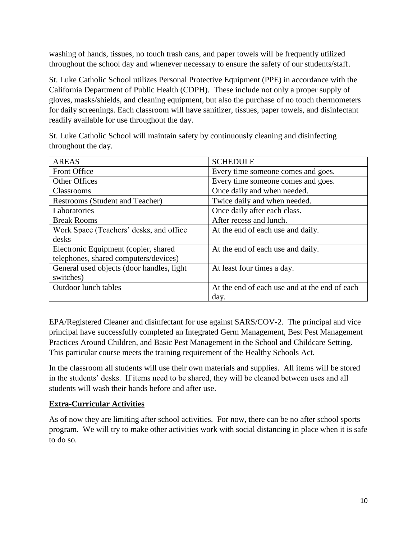washing of hands, tissues, no touch trash cans, and paper towels will be frequently utilized throughout the school day and whenever necessary to ensure the safety of our students/staff.

St. Luke Catholic School utilizes Personal Protective Equipment (PPE) in accordance with the California Department of Public Health (CDPH). These include not only a proper supply of gloves, masks/shields, and cleaning equipment, but also the purchase of no touch thermometers for daily screenings. Each classroom will have sanitizer, tissues, paper towels, and disinfectant readily available for use throughout the day.

St. Luke Catholic School will maintain safety by continuously cleaning and disinfecting throughout the day.

| <b>AREAS</b>                              | <b>SCHEDULE</b>                               |
|-------------------------------------------|-----------------------------------------------|
| <b>Front Office</b>                       | Every time someone comes and goes.            |
| <b>Other Offices</b>                      | Every time someone comes and goes.            |
| <b>Classrooms</b>                         | Once daily and when needed.                   |
| Restrooms (Student and Teacher)           | Twice daily and when needed.                  |
| Laboratories                              | Once daily after each class.                  |
| <b>Break Rooms</b>                        | After recess and lunch.                       |
| Work Space (Teachers' desks, and office   | At the end of each use and daily.             |
| desks                                     |                                               |
| Electronic Equipment (copier, shared      | At the end of each use and daily.             |
| telephones, shared computers/devices)     |                                               |
| General used objects (door handles, light | At least four times a day.                    |
| switches)                                 |                                               |
| <b>Outdoor lunch tables</b>               | At the end of each use and at the end of each |
|                                           | day.                                          |

EPA/Registered Cleaner and disinfectant for use against SARS/COV-2. The principal and vice principal have successfully completed an Integrated Germ Management, Best Pest Management Practices Around Children, and Basic Pest Management in the School and Childcare Setting. This particular course meets the training requirement of the Healthy Schools Act.

In the classroom all students will use their own materials and supplies. All items will be stored in the students' desks. If items need to be shared, they will be cleaned between uses and all students will wash their hands before and after use.

## **Extra-Curricular Activities**

As of now they are limiting after school activities. For now, there can be no after school sports program. We will try to make other activities work with social distancing in place when it is safe to do so.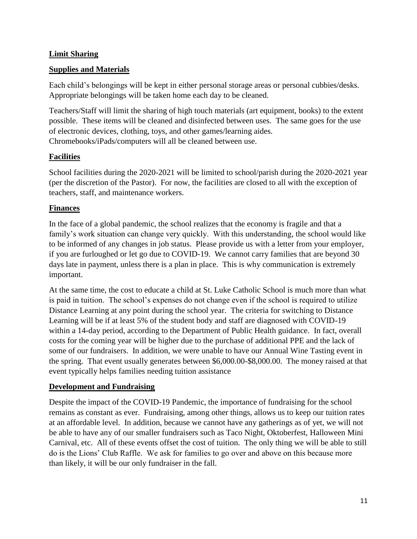#### **Limit Sharing**

#### **Supplies and Materials**

Each child's belongings will be kept in either personal storage areas or personal cubbies/desks. Appropriate belongings will be taken home each day to be cleaned.

Teachers/Staff will limit the sharing of high touch materials (art equipment, books) to the extent possible. These items will be cleaned and disinfected between uses. The same goes for the use of electronic devices, clothing, toys, and other games/learning aides. Chromebooks/iPads/computers will all be cleaned between use.

## **Facilities**

School facilities during the 2020-2021 will be limited to school/parish during the 2020-2021 year (per the discretion of the Pastor). For now, the facilities are closed to all with the exception of teachers, staff, and maintenance workers.

#### **Finances**

In the face of a global pandemic, the school realizes that the economy is fragile and that a family's work situation can change very quickly. With this understanding, the school would like to be informed of any changes in job status. Please provide us with a letter from your employer, if you are furloughed or let go due to COVID-19. We cannot carry families that are beyond 30 days late in payment, unless there is a plan in place. This is why communication is extremely important.

At the same time, the cost to educate a child at St. Luke Catholic School is much more than what is paid in tuition. The school's expenses do not change even if the school is required to utilize Distance Learning at any point during the school year. The criteria for switching to Distance Learning will be if at least 5% of the student body and staff are diagnosed with COVID-19 within a 14-day period, according to the Department of Public Health guidance. In fact, overall costs for the coming year will be higher due to the purchase of additional PPE and the lack of some of our fundraisers. In addition, we were unable to have our Annual Wine Tasting event in the spring. That event usually generates between \$6,000.00-\$8,000.00. The money raised at that event typically helps families needing tuition assistance

#### **Development and Fundraising**

Despite the impact of the COVID-19 Pandemic, the importance of fundraising for the school remains as constant as ever. Fundraising, among other things, allows us to keep our tuition rates at an affordable level. In addition, because we cannot have any gatherings as of yet, we will not be able to have any of our smaller fundraisers such as Taco Night, Oktoberfest, Halloween Mini Carnival, etc. All of these events offset the cost of tuition. The only thing we will be able to still do is the Lions' Club Raffle. We ask for families to go over and above on this because more than likely, it will be our only fundraiser in the fall.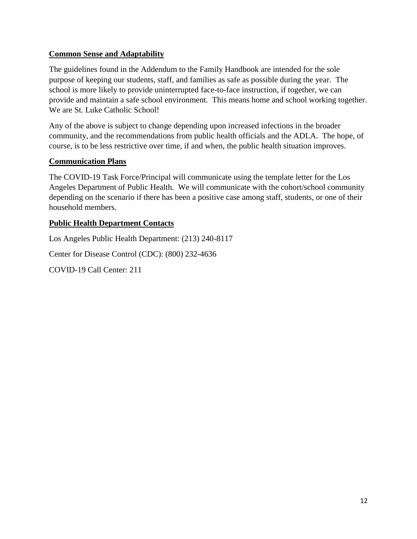#### **Common Sense and Adaptability**

The guidelines found in the Addendum to the Family Handbook are intended for the sole purpose of keeping our students, staff, and families as safe as possible during the year. The school is more likely to provide uninterrupted face-to-face instruction, if together, we can provide and maintain a safe school environment. This means home and school working together. We are St. Luke Catholic School!

Any of the above is subject to change depending upon increased infections in the broader community, and the recommendations from public health officials and the ADLA. The hope, of course, is to be less restrictive over time, if and when, the public health situation improves.

#### **Communication Plans**

The COVID-19 Task Force/Principal will communicate using the template letter for the Los Angeles Department of Public Health. We will communicate with the cohort/school community depending on the scenario if there has been a positive case among staff, students, or one of their household members.

#### **Public Health Department Contacts**

Los Angeles Public Health Department: (213) 240-8117

Center for Disease Control (CDC): (800) 232-4636

COVID-19 Call Center: 211